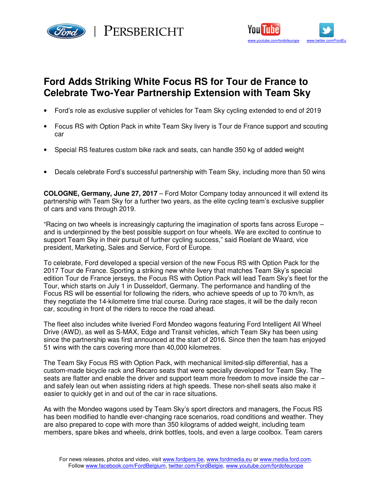





# **Ford Adds Striking White Focus RS for Tour de France to Celebrate Two-Year Partnership Extension with Team Sky**

- Ford's role as exclusive supplier of vehicles for Team Sky cycling extended to end of 2019
- Focus RS with Option Pack in white Team Sky livery is Tour de France support and scouting car
- Special RS features custom bike rack and seats, can handle 350 kg of added weight
- Decals celebrate Ford's successful partnership with Team Sky, including more than 50 wins

**COLOGNE, Germany, June 27, 2017** – Ford Motor Company today announced it will extend its partnership with Team Sky for a further two years, as the elite cycling team's exclusive supplier of cars and vans through 2019.

"Racing on two wheels is increasingly capturing the imagination of sports fans across Europe – and is underpinned by the best possible support on four wheels. We are excited to continue to support Team Sky in their pursuit of further cycling success," said Roelant de Waard, vice president, Marketing, Sales and Service, Ford of Europe.

To celebrate, Ford developed a special version of the new Focus RS with Option Pack for the 2017 Tour de France. Sporting a striking new white livery that matches Team Sky's special edition Tour de France jerseys, the Focus RS with Option Pack will lead Team Sky's fleet for the Tour, which starts on July 1 in Dusseldorf, Germany. The performance and handling of the Focus RS will be essential for following the riders, who achieve speeds of up to 70 km/h, as they negotiate the 14-kilometre time trial course. During race stages, it will be the daily recon car, scouting in front of the riders to recce the road ahead.

The fleet also includes white liveried Ford Mondeo wagons featuring Ford Intelligent All Wheel Drive (AWD), as well as S-MAX, Edge and Transit vehicles, which Team Sky has been using since the partnership was first announced at the start of 2016. Since then the team has enjoyed 51 wins with the cars covering more than 40,000 kilometres.

The Team Sky Focus RS with Option Pack, with mechanical limited-slip differential, has a custom-made bicycle rack and Recaro seats that were specially developed for Team Sky. The seats are flatter and enable the driver and support team more freedom to move inside the car and safely lean out when assisting riders at high speeds. These non-shell seats also make it easier to quickly get in and out of the car in race situations.

As with the Mondeo wagons used by Team Sky's sport directors and managers, the Focus RS has been modified to handle ever-changing race scenarios, road conditions and weather. They are also prepared to cope with more than 350 kilograms of added weight, including team members, spare bikes and wheels, drink bottles, tools, and even a large coolbox. Team carers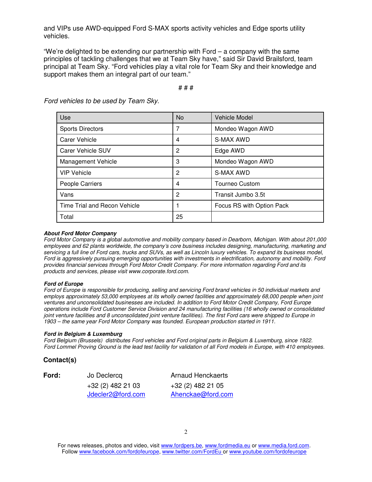and VIPs use AWD-equipped Ford S-MAX sports activity vehicles and Edge sports utility vehicles.

"We're delighted to be extending our partnership with Ford – a company with the same principles of tackling challenges that we at Team Sky have," said Sir David Brailsford, team principal at Team Sky. "Ford vehicles play a vital role for Team Sky and their knowledge and support makes them an integral part of our team."

## # # #

| Use                          | No | <b>Vehicle Model</b>      |
|------------------------------|----|---------------------------|
| <b>Sports Directors</b>      | 7  | Mondeo Wagon AWD          |
| <b>Carer Vehicle</b>         | 4  | S-MAX AWD                 |
| Carer Vehicle SUV            | 2  | Edge AWD                  |
| Management Vehicle           | 3  | Mondeo Wagon AWD          |
| <b>VIP Vehicle</b>           | 2  | S-MAX AWD                 |
| People Carriers              | 4  | <b>Tourneo Custom</b>     |
| Vans                         | 2  | Transit Jumbo 3.5t        |
| Time Trial and Recon Vehicle |    | Focus RS with Option Pack |
| Total                        | 25 |                           |

Ford vehicles to be used by Team Sky.

#### **About Ford Motor Company**

Ford Motor Company is a global automotive and mobility company based in Dearborn, Michigan. With about 201,000 employees and 62 plants worldwide, the company's core business includes designing, manufacturing, marketing and servicing a full line of Ford cars, trucks and SUVs, as well as Lincoln luxury vehicles. To expand its business model, Ford is aggressively pursuing emerging opportunities with investments in electrification, autonomy and mobility. Ford provides financial services through Ford Motor Credit Company. For more information regarding Ford and its products and services, please visit www.corporate.ford.com.

#### **Ford of Europe**

Ford of Europe is responsible for producing, selling and servicing Ford brand vehicles in 50 individual markets and employs approximately 53,000 employees at its wholly owned facilities and approximately 68,000 people when joint ventures and unconsolidated businesses are included. In addition to Ford Motor Credit Company, Ford Europe operations include Ford Customer Service Division and 24 manufacturing facilities (16 wholly owned or consolidated joint venture facilities and 8 unconsolidated joint venture facilities). The first Ford cars were shipped to Europe in 1903 – the same year Ford Motor Company was founded. European production started in 1911.

#### **Ford in Belgium & Luxemburg**

Ford Belgium (Brussels) distributes Ford vehicles and Ford original parts in Belgium & Luxemburg, since 1922. Ford Lommel Proving Ground is the lead test facility for validation of all Ford models in Europe, with 410 employees.

### **Contact(s)**

**Ford:** Jo Declercq Jdecler2@ford.com

Arnaud Henckaerts +32 (2) 482 21 03 +32 (2) 482 21 05 Ahenckae@ford.com

For news releases, photos and video, visit www.fordpers.be, www.fordmedia.eu or www.media.ford.com. Follow www.facebook.com/fordofeurope, www.twitter.com/FordEu or www.youtube.com/fordofeurope